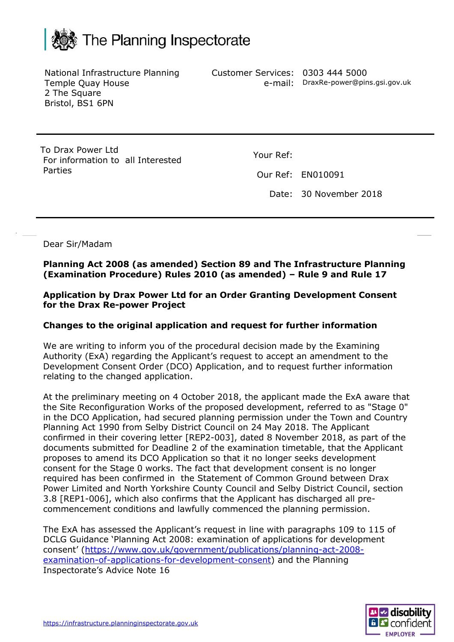

National Infrastructure Planning Temple Quay House 2 The Square Bristol, BS1 6PN

Customer Services: 0303 444 5000

e-mail: DraxRe-power@pins.gsi.gov.uk

To Drax Power Ltd For information to all Interested Parties

Your Ref:

Our Ref: EN010091

Date: 30 November 2018

Dear Sir/Madam

**Planning Act 2008 (as amended) Section 89 and The Infrastructure Planning (Examination Procedure) Rules 2010 (as amended) – Rule 9 and Rule 17**

**Application by Drax Power Ltd for an Order Granting Development Consent for the Drax Re-power Project**

## **Changes to the original application and request for further information**

We are writing to inform you of the procedural decision made by the Examining Authority (ExA) regarding the Applicant's request to accept an amendment to the Development Consent Order (DCO) Application, and to request further information relating to the changed application.

At the preliminary meeting on 4 October 2018, the applicant made the ExA aware that the Site Reconfiguration Works of the proposed development, referred to as "Stage 0" in the DCO Application, had secured planning permission under the Town and Country Planning Act 1990 from Selby District Council on 24 May 2018. The Applicant confirmed in their covering letter [REP2-003], dated 8 November 2018, as part of the documents submitted for Deadline 2 of the examination timetable, that the Applicant proposes to amend its DCO Application so that it no longer seeks development consent for the Stage 0 works. The fact that development consent is no longer required has been confirmed in the Statement of Common Ground between Drax Power Limited and North Yorkshire County Council and Selby District Council, section 3.8 [REP1-006], which also confirms that the Applicant has discharged all precommencement conditions and lawfully commenced the planning permission.

The ExA has assessed the Applicant's request in line with paragraphs 109 to 115 of DCLG Guidance 'Planning Act 2008: examination of applications for development consent' ([https://www.gov.uk/government/publications/planning-act-2008](https://www.gov.uk/government/publications/planning-act-2008-examination-of-applications-for-development-consent) [examination-of-applications-for-development-consent\)](https://www.gov.uk/government/publications/planning-act-2008-examination-of-applications-for-development-consent) and the Planning Inspectorate's Advice Note 16